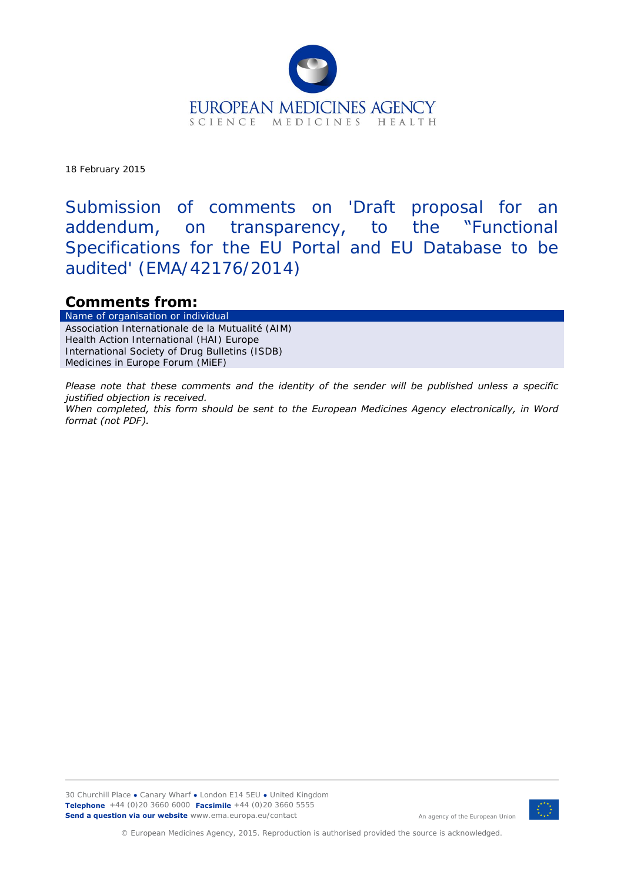

18 February 2015

Submission of comments on 'Draft proposal for an addendum, on transparency, to the "Functional Specifications for the EU Portal and EU Database to be audited' (EMA/42176/2014)

### **Comments from:**

Name of organisation or Association Internationale de la Mutualité (AIM) Health Action International (HAI) Europe International Society of Drug Bulletins (ISDB) Medicines in Europe Forum (MiEF)

*Please note that these comments and the identity of the sender will be published unless a specific justified objection is received. When completed, this form should be sent to the European Medicines Agency electronically, in Word format (not PDF).* 



An agency of the European Union

© European Medicines Agency, 2015. Reproduction is authorised provided the source is acknowledged.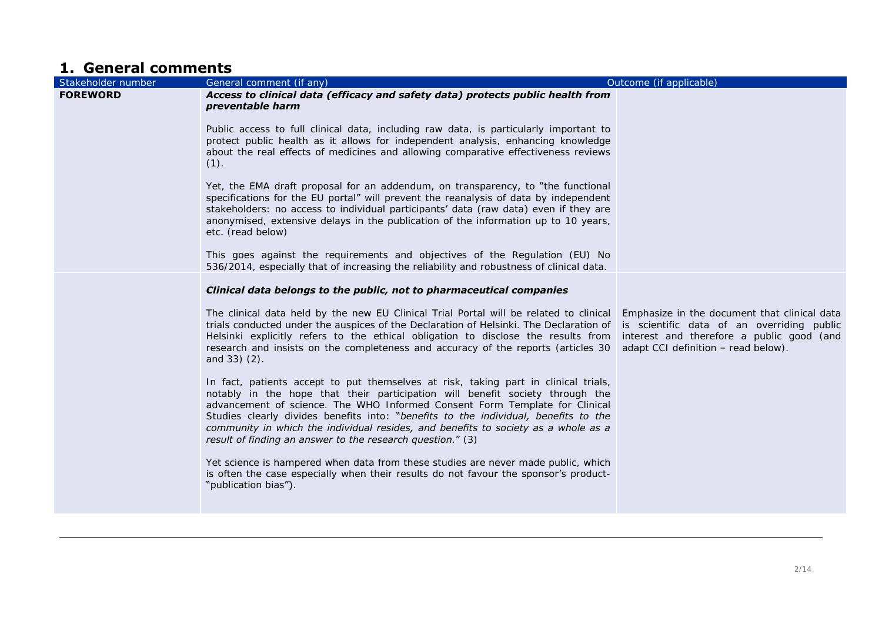# **1. General comments**

| Stakeholder number | General comment (if any)                                                                                                                                                                                                                                                                                                                                                                                                                                                                       | Outcome (if applicable)                                                                                                                                                        |
|--------------------|------------------------------------------------------------------------------------------------------------------------------------------------------------------------------------------------------------------------------------------------------------------------------------------------------------------------------------------------------------------------------------------------------------------------------------------------------------------------------------------------|--------------------------------------------------------------------------------------------------------------------------------------------------------------------------------|
| <b>FOREWORD</b>    | Access to clinical data (efficacy and safety data) protects public health from<br>preventable harm                                                                                                                                                                                                                                                                                                                                                                                             |                                                                                                                                                                                |
|                    | Public access to full clinical data, including raw data, is particularly important to<br>protect public health as it allows for independent analysis, enhancing knowledge<br>about the real effects of medicines and allowing comparative effectiveness reviews<br>$(1)$ .                                                                                                                                                                                                                     |                                                                                                                                                                                |
|                    | Yet, the EMA draft proposal for an addendum, on transparency, to "the functional<br>specifications for the EU portal" will prevent the reanalysis of data by independent<br>stakeholders: no access to individual participants' data (raw data) even if they are<br>anonymised, extensive delays in the publication of the information up to 10 years,<br>etc. (read below)                                                                                                                    |                                                                                                                                                                                |
|                    | This goes against the requirements and objectives of the Regulation (EU) No<br>536/2014, especially that of increasing the reliability and robustness of clinical data.                                                                                                                                                                                                                                                                                                                        |                                                                                                                                                                                |
|                    | Clinical data belongs to the public, not to pharmaceutical companies                                                                                                                                                                                                                                                                                                                                                                                                                           |                                                                                                                                                                                |
|                    | The clinical data held by the new EU Clinical Trial Portal will be related to clinical<br>trials conducted under the auspices of the Declaration of Helsinki. The Declaration of<br>Helsinki explicitly refers to the ethical obligation to disclose the results from<br>research and insists on the completeness and accuracy of the reports (articles 30<br>and $33)$ $(2)$ .                                                                                                                | Emphasize in the document that clinical data<br>is scientific data of an overriding public<br>interest and therefore a public good (and<br>adapt CCI definition - read below). |
|                    | In fact, patients accept to put themselves at risk, taking part in clinical trials,<br>notably in the hope that their participation will benefit society through the<br>advancement of science. The WHO Informed Consent Form Template for Clinical<br>Studies clearly divides benefits into: "benefits to the individual, benefits to the<br>community in which the individual resides, and benefits to society as a whole as a<br>result of finding an answer to the research question." (3) |                                                                                                                                                                                |
|                    | Yet science is hampered when data from these studies are never made public, which<br>is often the case especially when their results do not favour the sponsor's product-<br>"publication bias").                                                                                                                                                                                                                                                                                              |                                                                                                                                                                                |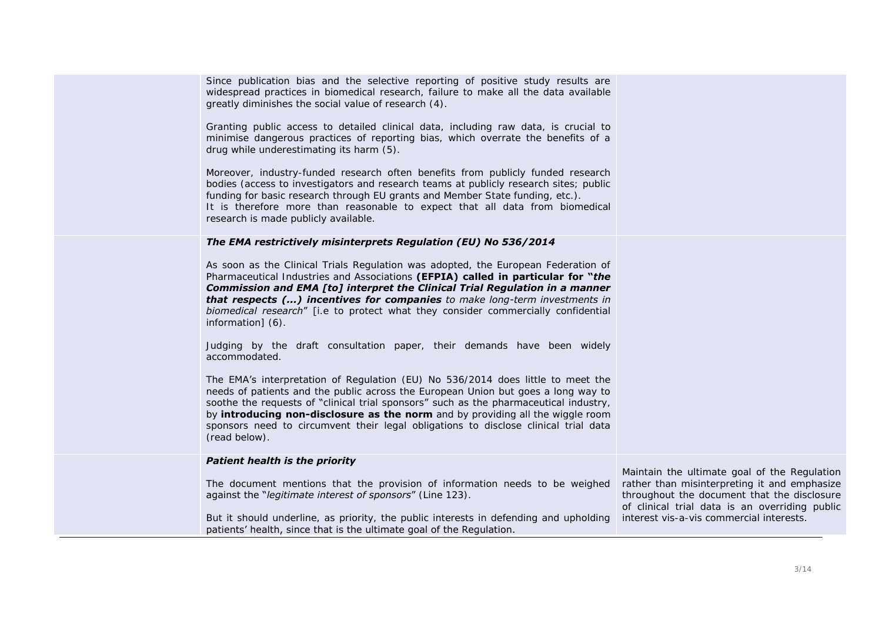| Since publication bias and the selective reporting of positive study results are<br>widespread practices in biomedical research, failure to make all the data available<br>greatly diminishes the social value of research (4).                                                                                                                                                                                                                         |                                                                                                                                                                                               |
|---------------------------------------------------------------------------------------------------------------------------------------------------------------------------------------------------------------------------------------------------------------------------------------------------------------------------------------------------------------------------------------------------------------------------------------------------------|-----------------------------------------------------------------------------------------------------------------------------------------------------------------------------------------------|
| Granting public access to detailed clinical data, including raw data, is crucial to<br>minimise dangerous practices of reporting bias, which overrate the benefits of a<br>drug while underestimating its harm (5).                                                                                                                                                                                                                                     |                                                                                                                                                                                               |
| Moreover, industry-funded research often benefits from publicly funded research<br>bodies (access to investigators and research teams at publicly research sites; public<br>funding for basic research through EU grants and Member State funding, etc.).<br>It is therefore more than reasonable to expect that all data from biomedical<br>research is made publicly available.                                                                       |                                                                                                                                                                                               |
| The EMA restrictively misinterprets Regulation (EU) No 536/2014                                                                                                                                                                                                                                                                                                                                                                                         |                                                                                                                                                                                               |
| As soon as the Clinical Trials Regulation was adopted, the European Federation of<br>Pharmaceutical Industries and Associations (EFPIA) called in particular for "the<br><b>Commission and EMA [to] interpret the Clinical Trial Regulation in a manner</b><br>that respects () incentives for companies to make long-term investments in<br>biomedical research" [i.e to protect what they consider commercially confidential<br>information] (6).     |                                                                                                                                                                                               |
| Judging by the draft consultation paper, their demands have been widely<br>accommodated.                                                                                                                                                                                                                                                                                                                                                                |                                                                                                                                                                                               |
| The EMA's interpretation of Regulation (EU) No 536/2014 does little to meet the<br>needs of patients and the public across the European Union but goes a long way to<br>soothe the requests of "clinical trial sponsors" such as the pharmaceutical industry,<br>by introducing non-disclosure as the norm and by providing all the wiggle room<br>sponsors need to circumvent their legal obligations to disclose clinical trial data<br>(read below). |                                                                                                                                                                                               |
| <b>Patient health is the priority</b>                                                                                                                                                                                                                                                                                                                                                                                                                   |                                                                                                                                                                                               |
| The document mentions that the provision of information needs to be weighed<br>against the "legitimate interest of sponsors" (Line 123).                                                                                                                                                                                                                                                                                                                | Maintain the ultimate goal of the Regulation<br>rather than misinterpreting it and emphasize<br>throughout the document that the disclosure<br>of clinical trial data is an overriding public |
| But it should underline, as priority, the public interests in defending and upholding<br>patients' health, since that is the ultimate goal of the Regulation.                                                                                                                                                                                                                                                                                           | interest vis-a-vis commercial interests.                                                                                                                                                      |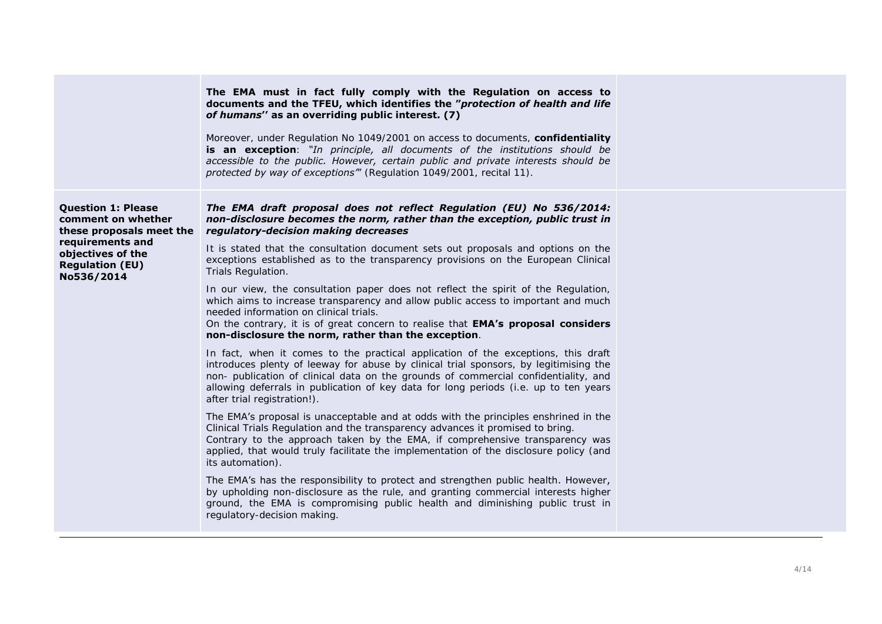|                                                                                                                                                              | The EMA must in fact fully comply with the Regulation on access to<br>documents and the TFEU, which identifies the "protection of health and life<br>of humans" as an overriding public interest. (7)<br>Moreover, under Regulation No 1049/2001 on access to documents, confidentiality<br><b>is an exception</b> : "In principle, all documents of the institutions should be<br>accessible to the public. However, certain public and private interests should be<br>protected by way of exceptions" (Regulation 1049/2001, recital 11).                                          |
|--------------------------------------------------------------------------------------------------------------------------------------------------------------|--------------------------------------------------------------------------------------------------------------------------------------------------------------------------------------------------------------------------------------------------------------------------------------------------------------------------------------------------------------------------------------------------------------------------------------------------------------------------------------------------------------------------------------------------------------------------------------|
| <b>Question 1: Please</b><br>comment on whether<br>these proposals meet the<br>requirements and<br>objectives of the<br><b>Regulation (EU)</b><br>No536/2014 | The EMA draft proposal does not reflect Regulation (EU) No 536/2014:<br>non-disclosure becomes the norm, rather than the exception, public trust in<br>regulatory-decision making decreases<br>It is stated that the consultation document sets out proposals and options on the<br>exceptions established as to the transparency provisions on the European Clinical<br>Trials Regulation.<br>In our view, the consultation paper does not reflect the spirit of the Regulation,<br>which aims to increase transparency and allow public access to important and much               |
|                                                                                                                                                              | needed information on clinical trials.<br>On the contrary, it is of great concern to realise that <b>EMA's proposal considers</b><br>non-disclosure the norm, rather than the exception.<br>In fact, when it comes to the practical application of the exceptions, this draft<br>introduces plenty of leeway for abuse by clinical trial sponsors, by legitimising the<br>non- publication of clinical data on the grounds of commercial confidentiality, and<br>allowing deferrals in publication of key data for long periods (i.e. up to ten years<br>after trial registration!). |
|                                                                                                                                                              | The EMA's proposal is unacceptable and at odds with the principles enshrined in the<br>Clinical Trials Regulation and the transparency advances it promised to bring.<br>Contrary to the approach taken by the EMA, if comprehensive transparency was<br>applied, that would truly facilitate the implementation of the disclosure policy (and<br>its automation).                                                                                                                                                                                                                   |
|                                                                                                                                                              | The EMA's has the responsibility to protect and strengthen public health. However,<br>by upholding non-disclosure as the rule, and granting commercial interests higher<br>ground, the EMA is compromising public health and diminishing public trust in<br>regulatory-decision making.                                                                                                                                                                                                                                                                                              |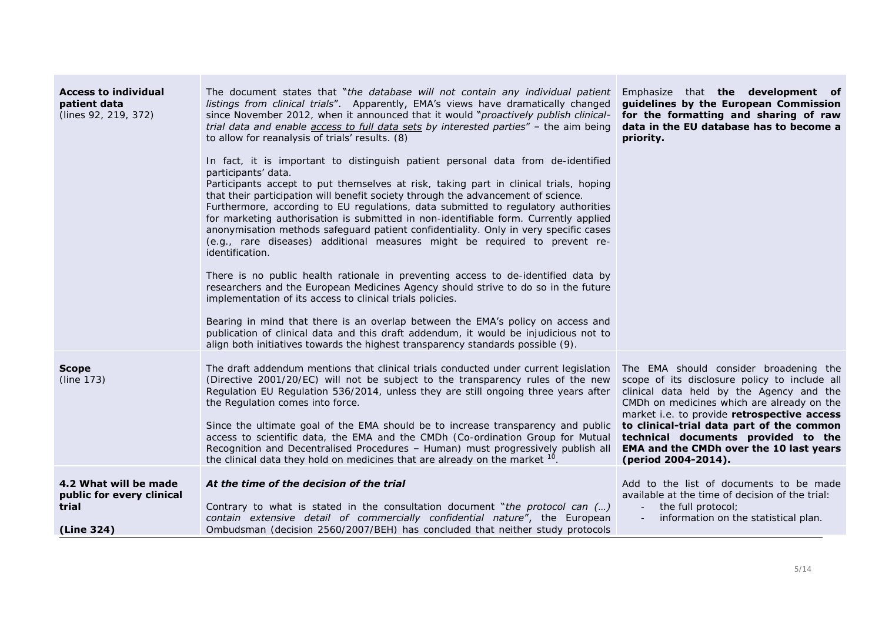| <b>Access to individual</b><br>patient data<br>(lines 92, 219, 372)       | The document states that "the database will not contain any individual patient<br>listings from clinical trials". Apparently, EMA's views have dramatically changed<br>since November 2012, when it announced that it would "proactively publish clinical-<br>trial data and enable access to full data sets by interested parties" - the aim being<br>to allow for reanalysis of trials' results. (8)<br>In fact, it is important to distinguish patient personal data from de-identified<br>participants' data.<br>Participants accept to put themselves at risk, taking part in clinical trials, hoping<br>that their participation will benefit society through the advancement of science.<br>Furthermore, according to EU regulations, data submitted to regulatory authorities<br>for marketing authorisation is submitted in non-identifiable form. Currently applied<br>anonymisation methods safeguard patient confidentiality. Only in very specific cases<br>(e.g., rare diseases) additional measures might be required to prevent re-<br>identification. | Emphasize that the development of<br>guidelines by the European Commission<br>for the formatting and sharing of raw<br>data in the EU database has to become a<br>priority.                                                                                                                                                                                                            |
|---------------------------------------------------------------------------|------------------------------------------------------------------------------------------------------------------------------------------------------------------------------------------------------------------------------------------------------------------------------------------------------------------------------------------------------------------------------------------------------------------------------------------------------------------------------------------------------------------------------------------------------------------------------------------------------------------------------------------------------------------------------------------------------------------------------------------------------------------------------------------------------------------------------------------------------------------------------------------------------------------------------------------------------------------------------------------------------------------------------------------------------------------------|----------------------------------------------------------------------------------------------------------------------------------------------------------------------------------------------------------------------------------------------------------------------------------------------------------------------------------------------------------------------------------------|
|                                                                           | There is no public health rationale in preventing access to de-identified data by<br>researchers and the European Medicines Agency should strive to do so in the future<br>implementation of its access to clinical trials policies.<br>Bearing in mind that there is an overlap between the EMA's policy on access and<br>publication of clinical data and this draft addendum, it would be injudicious not to<br>align both initiatives towards the highest transparency standards possible (9).                                                                                                                                                                                                                                                                                                                                                                                                                                                                                                                                                                     |                                                                                                                                                                                                                                                                                                                                                                                        |
| <b>Scope</b><br>(line 173)                                                | The draft addendum mentions that clinical trials conducted under current legislation<br>(Directive 2001/20/EC) will not be subject to the transparency rules of the new<br>Regulation EU Regulation 536/2014, unless they are still ongoing three years after<br>the Regulation comes into force.<br>Since the ultimate goal of the EMA should be to increase transparency and public<br>access to scientific data, the EMA and the CMDh (Co-ordination Group for Mutual<br>Recognition and Decentralised Procedures - Human) must progressively publish all<br>the clinical data they hold on medicines that are already on the market <sup>10</sup>                                                                                                                                                                                                                                                                                                                                                                                                                  | The EMA should consider broadening the<br>scope of its disclosure policy to include all<br>clinical data held by the Agency and the<br>CMDh on medicines which are already on the<br>market i.e. to provide retrospective access<br>to clinical-trial data part of the common<br>technical documents provided to the<br>EMA and the CMDh over the 10 last years<br>(period 2004-2014). |
| 4.2 What will be made<br>public for every clinical<br>trial<br>(Line 324) | At the time of the decision of the trial<br>Contrary to what is stated in the consultation document "the protocol can $()$<br>contain extensive detail of commercially confidential nature", the European<br>Ombudsman (decision 2560/2007/BEH) has concluded that neither study protocols                                                                                                                                                                                                                                                                                                                                                                                                                                                                                                                                                                                                                                                                                                                                                                             | Add to the list of documents to be made<br>available at the time of decision of the trial:<br>the full protocol;<br>information on the statistical plan.                                                                                                                                                                                                                               |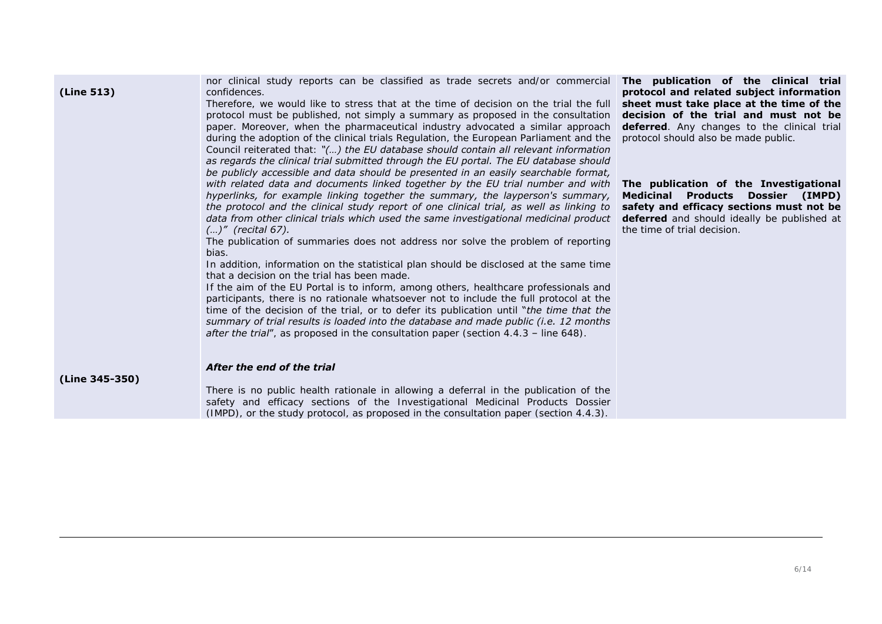| (Line 513)     | nor clinical study reports can be classified as trade secrets and/or commercial <b>The publication of the clinical trial</b><br>confidences.<br>Therefore, we would like to stress that at the time of decision on the trial the full<br>protocol must be published, not simply a summary as proposed in the consultation<br>paper. Moreover, when the pharmaceutical industry advocated a similar approach<br>during the adoption of the clinical trials Regulation, the European Parliament and the<br>Council reiterated that: "() the EU database should contain all relevant information<br>as regards the clinical trial submitted through the EU portal. The EU database should<br>be publicly accessible and data should be presented in an easily searchable format,                                                                                                                                                                                                                                                                                                            | protocol and related subject information<br>sheet must take place at the time of the<br>decision of the trial and must not be<br><b>deferred</b> . Any changes to the clinical trial<br>protocol should also be made public. |
|----------------|------------------------------------------------------------------------------------------------------------------------------------------------------------------------------------------------------------------------------------------------------------------------------------------------------------------------------------------------------------------------------------------------------------------------------------------------------------------------------------------------------------------------------------------------------------------------------------------------------------------------------------------------------------------------------------------------------------------------------------------------------------------------------------------------------------------------------------------------------------------------------------------------------------------------------------------------------------------------------------------------------------------------------------------------------------------------------------------|------------------------------------------------------------------------------------------------------------------------------------------------------------------------------------------------------------------------------|
|                | with related data and documents linked together by the EU trial number and with<br>hyperlinks, for example linking together the summary, the layperson's summary,<br>the protocol and the clinical study report of one clinical trial, as well as linking to<br>data from other clinical trials which used the same investigational medicinal product<br>$()$ " (recital 67).<br>The publication of summaries does not address nor solve the problem of reporting<br>bias.<br>In addition, information on the statistical plan should be disclosed at the same time<br>that a decision on the trial has been made.<br>If the aim of the EU Portal is to inform, among others, healthcare professionals and<br>participants, there is no rationale whatsoever not to include the full protocol at the<br>time of the decision of the trial, or to defer its publication until "the time that the<br>summary of trial results is loaded into the database and made public (i.e. 12 months<br><b>after the trial"</b> , as proposed in the consultation paper (section $4.4.3$ – line 648). | The publication of the Investigational<br>Medicinal Products Dossier (IMPD)<br>safety and efficacy sections must not be<br><b>deferred</b> and should ideally be published at<br>the time of trial decision.                 |
|                | After the end of the trial                                                                                                                                                                                                                                                                                                                                                                                                                                                                                                                                                                                                                                                                                                                                                                                                                                                                                                                                                                                                                                                               |                                                                                                                                                                                                                              |
| (Line 345-350) | There is no public health rationale in allowing a deferral in the publication of the<br>safety and efficacy sections of the Investigational Medicinal Products Dossier<br>$(IMPD)$ , or the study protocol, as proposed in the consultation paper (section 4.4.3).                                                                                                                                                                                                                                                                                                                                                                                                                                                                                                                                                                                                                                                                                                                                                                                                                       |                                                                                                                                                                                                                              |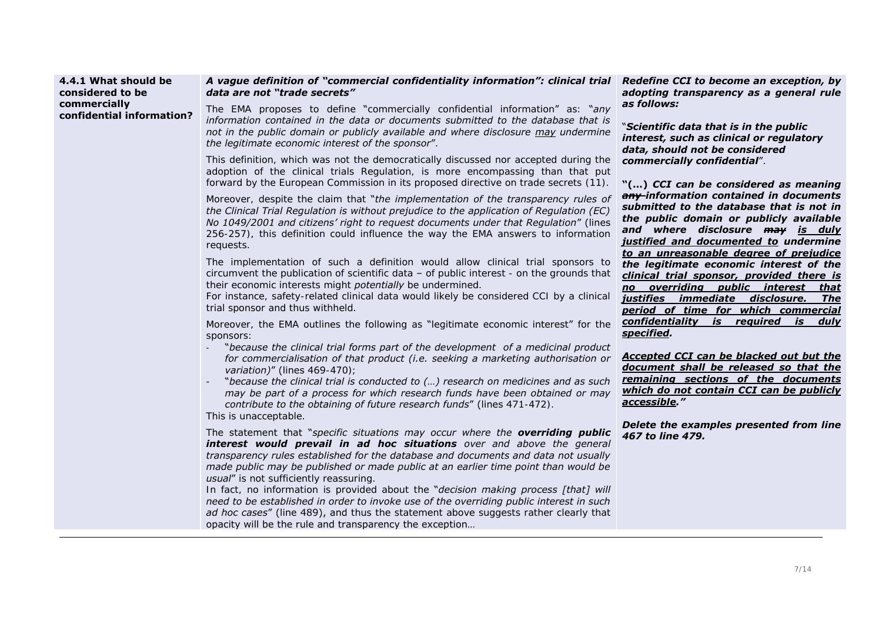#### **4.4.1 What should be considered to be commercially confidential information?**

### *A vague definition of "commercial confidentiality information": clinical trial data are not "trade secrets"*

The EMA proposes to define "commercially confidential information" as: "*any information contained in the data or documents submitted to the database that is not in the public domain or publicly available and where disclosure may undermine the legitimate economic interest of the sponsor*".

This definition, which was not the democratically discussed nor accepted during the adoption of the clinical trials Regulation, is more encompassing than that put forward by the European Commission in its proposed directive on trade secrets (11).

Moreover, despite the claim that "*the implementation of the transparency rules of the Clinical Trial Regulation is without prejudice to the application of Regulation (EC) No 1049/2001 and citizens' right to request documents under that Regulation*" (lines 256-257), this definition could influence the way the EMA answers to information requests.

The implementation of such a definition would allow clinical trial sponsors to circumvent the publication of scientific data – of public interest - on the grounds that their economic interests might *potentially* be undermined.

For instance, safety-related clinical data would likely be considered CCI by a clinical trial sponsor and thus withheld.

Moreover, the EMA outlines the following as "legitimate economic interest" for the sponsors:

- "*because the clinical trial forms part of the development of a medicinal product for commercialisation of that product (i.e. seeking a marketing authorisation or variation)*" (lines 469-470);
- "*because the clinical trial is conducted to (…) research on medicines and as such may be part of a process for which research funds have been obtained or may contribute to the obtaining of future research funds*" (lines 471-472).

This is unacceptable.

The statement that "*specific situations may occur where the overriding public interest would prevail in ad hoc situations over and above the general transparency rules established for the database and documents and data not usually made public may be published or made public at an earlier time point than would be usual*" is not sufficiently reassuring.

In fact, no information is provided about the "*decision making process [that] will need to be established in order to invoke use of the overriding public interest in such ad hoc cases*" (line 489), and thus the statement above suggests rather clearly that opacity will be the rule and transparency the exception…

*Redefine CCI to become an exception, by adopting transparency as a general rule as follows:*

"*Scientific data that is in the public interest, such as clinical or regulatory data, should not be considered commercially confidential*".

**"(…)** *CCI can be considered as meaning any information contained in documents submitted to the database that is not in the public domain or publicly available and where disclosure may is duly justified and documented to undermine to an unreasonable degree of prejudice the legitimate economic interest of the clinical trial sponsor, provided there is no overriding public interest that justifies immediate disclosure. The period of time for which commercial confidentiality is required is duly specified.* 

*Accepted CCI can be blacked out but the document shall be released so that the remaining sections of the documents which do not contain CCI can be publicly accessible."*

*Delete the examples presented from line 467 to line 479.*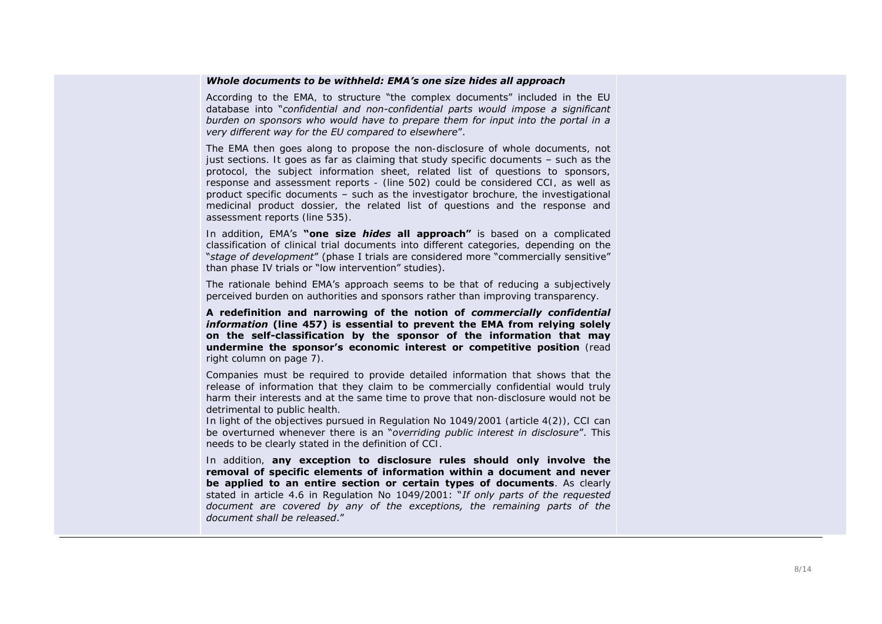#### *Whole documents to be withheld: EMA's one size hides all approach*

According to the EMA, to structure "the complex documents" included in the EU database into "*confidential and non-confidential parts would impose a significant burden on sponsors who would have to prepare them for input into the portal in a very different way for the EU compared to elsewhere*".

The EMA then goes along to propose the non-disclosure of whole documents, not just sections. It goes as far as claiming that study specific documents – such as the protocol, the subject information sheet, related list of questions to sponsors, response and assessment reports - (line 502) could be considered CCI, as well as product specific documents – such as the investigator brochure, the investigational medicinal product dossier, the related list of questions and the response and assessment reports (line 535).

In addition, EMA's **"one size** *hides* **all approach"** is based on a complicated classification of clinical trial documents into different categories, depending on the "*stage of development*" (phase I trials are considered more "commercially sensitive" than phase IV trials or "low intervention" studies).

The rationale behind EMA's approach seems to be that of reducing a subjectively perceived burden on authorities and sponsors rather than improving transparency.

**A redefinition and narrowing of the notion of** *commercially confidential information* **(line 457) is essential to prevent the EMA from relying solely on the self-classification by the sponsor of the information that may undermine the sponsor's economic interest or competitive position** (read right column on page 7).

Companies must be required to provide detailed information that shows that the release of information that they claim to be commercially confidential would truly harm their interests and at the same time to prove that non-disclosure would not be detrimental to public health.

In light of the objectives pursued in Regulation No 1049/2001 (article 4(2)), CCI can be overturned whenever there is an "*overriding public interest in disclosure*". This needs to be clearly stated in the definition of CCI.

In addition, **any exception to disclosure rules should only involve the removal of specific elements of information within a document and never be applied to an entire section or certain types of documents**. As clearly stated in article 4.6 in Regulation No 1049/2001: "*If only parts of the requested document are covered by any of the exceptions, the remaining parts of the document shall be released*."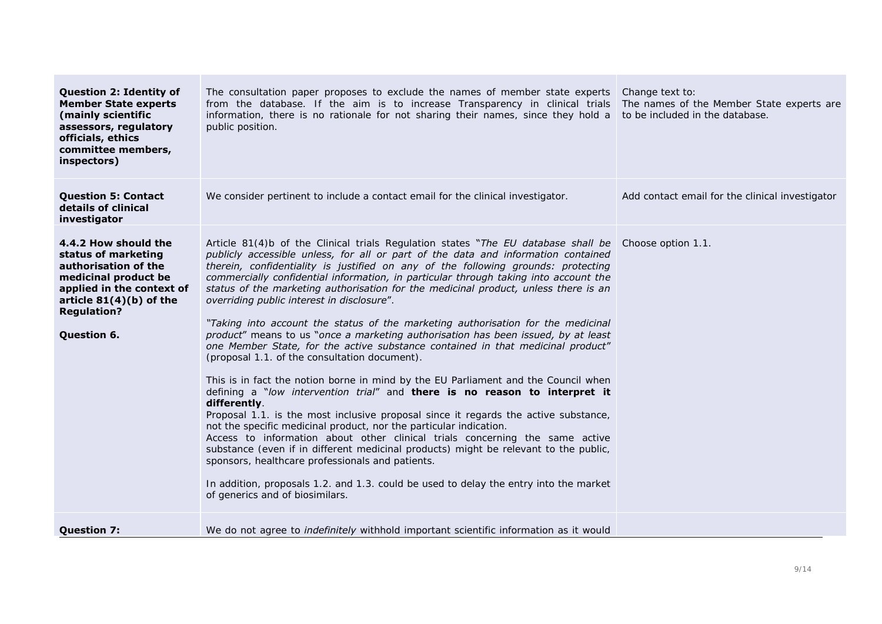| <b>Question 2: Identity of</b><br><b>Member State experts</b><br>(mainly scientific<br>assessors, regulatory<br>officials, ethics<br>committee members,<br>inspectors)                     | The consultation paper proposes to exclude the names of member state experts<br>from the database. If the aim is to increase Transparency in clinical trials<br>information, there is no rationale for not sharing their names, since they hold a<br>public position.                                                                                                                                                                                                                                                                                                                                                                                                                                                                                                                                                                                                                                                                                                                                                                                                                                                                                                                                                                                                                                                                                                                                                                                                                                          | Change text to:<br>The names of the Member State experts are<br>to be included in the database. |
|--------------------------------------------------------------------------------------------------------------------------------------------------------------------------------------------|----------------------------------------------------------------------------------------------------------------------------------------------------------------------------------------------------------------------------------------------------------------------------------------------------------------------------------------------------------------------------------------------------------------------------------------------------------------------------------------------------------------------------------------------------------------------------------------------------------------------------------------------------------------------------------------------------------------------------------------------------------------------------------------------------------------------------------------------------------------------------------------------------------------------------------------------------------------------------------------------------------------------------------------------------------------------------------------------------------------------------------------------------------------------------------------------------------------------------------------------------------------------------------------------------------------------------------------------------------------------------------------------------------------------------------------------------------------------------------------------------------------|-------------------------------------------------------------------------------------------------|
| <b>Question 5: Contact</b><br>details of clinical<br>investigator                                                                                                                          | We consider pertinent to include a contact email for the clinical investigator.                                                                                                                                                                                                                                                                                                                                                                                                                                                                                                                                                                                                                                                                                                                                                                                                                                                                                                                                                                                                                                                                                                                                                                                                                                                                                                                                                                                                                                | Add contact email for the clinical investigator                                                 |
| 4.4.2 How should the<br>status of marketing<br>authorisation of the<br>medicinal product be<br>applied in the context of<br>article $81(4)(b)$ of the<br><b>Regulation?</b><br>Question 6. | Article 81(4)b of the Clinical trials Regulation states "The EU database shall be<br>publicly accessible unless, for all or part of the data and information contained<br>therein, confidentiality is justified on any of the following grounds: protecting<br>commercially confidential information, in particular through taking into account the<br>status of the marketing authorisation for the medicinal product, unless there is an<br>overriding public interest in disclosure".<br>"Taking into account the status of the marketing authorisation for the medicinal<br>product" means to us "once a marketing authorisation has been issued, by at least<br>one Member State, for the active substance contained in that medicinal product"<br>(proposal 1.1. of the consultation document).<br>This is in fact the notion borne in mind by the EU Parliament and the Council when<br>defining a "low intervention trial" and there is no reason to interpret it<br>differently.<br>Proposal 1.1. is the most inclusive proposal since it regards the active substance,<br>not the specific medicinal product, nor the particular indication.<br>Access to information about other clinical trials concerning the same active<br>substance (even if in different medicinal products) might be relevant to the public,<br>sponsors, healthcare professionals and patients.<br>In addition, proposals 1.2. and 1.3. could be used to delay the entry into the market<br>of generics and of biosimilars. | Choose option 1.1.                                                                              |
| <b>Question 7:</b>                                                                                                                                                                         | We do not agree to <i>indefinitely</i> withhold important scientific information as it would                                                                                                                                                                                                                                                                                                                                                                                                                                                                                                                                                                                                                                                                                                                                                                                                                                                                                                                                                                                                                                                                                                                                                                                                                                                                                                                                                                                                                   |                                                                                                 |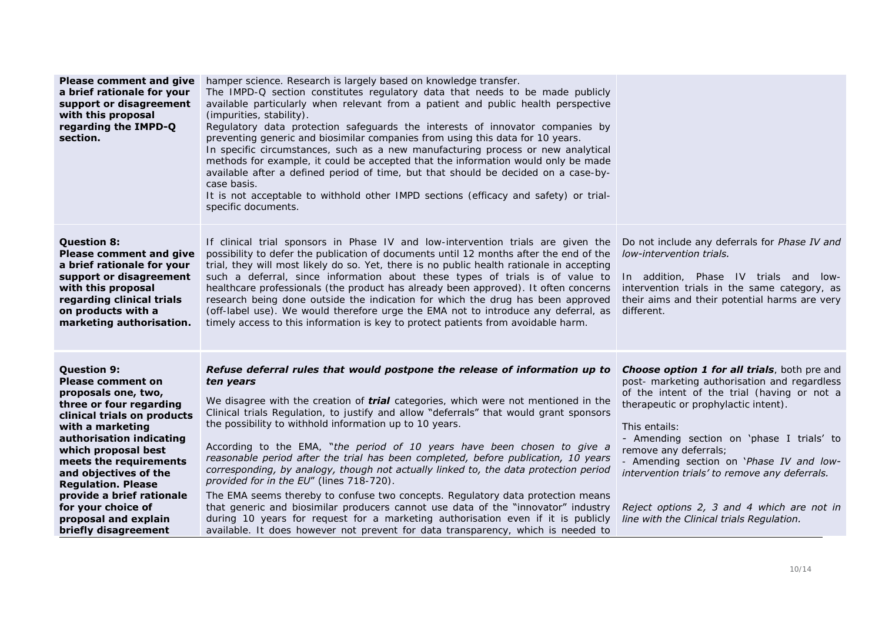| <b>Please comment and give</b><br>a brief rationale for your<br>support or disagreement<br>with this proposal<br>regarding the IMPD-Q<br>section.                                                                                                                                                                                                                                         | hamper science. Research is largely based on knowledge transfer.<br>The IMPD-Q section constitutes regulatory data that needs to be made publicly<br>available particularly when relevant from a patient and public health perspective<br>(impurities, stability).<br>Regulatory data protection safeguards the interests of innovator companies by<br>preventing generic and biosimilar companies from using this data for 10 years.<br>In specific circumstances, such as a new manufacturing process or new analytical<br>methods for example, it could be accepted that the information would only be made<br>available after a defined period of time, but that should be decided on a case-by-<br>case basis.<br>It is not acceptable to withhold other IMPD sections (efficacy and safety) or trial-<br>specific documents.                                                                                                                                                              |                                                                                                                                                                                                                                                                                                                                                                                                                                                                            |
|-------------------------------------------------------------------------------------------------------------------------------------------------------------------------------------------------------------------------------------------------------------------------------------------------------------------------------------------------------------------------------------------|-------------------------------------------------------------------------------------------------------------------------------------------------------------------------------------------------------------------------------------------------------------------------------------------------------------------------------------------------------------------------------------------------------------------------------------------------------------------------------------------------------------------------------------------------------------------------------------------------------------------------------------------------------------------------------------------------------------------------------------------------------------------------------------------------------------------------------------------------------------------------------------------------------------------------------------------------------------------------------------------------|----------------------------------------------------------------------------------------------------------------------------------------------------------------------------------------------------------------------------------------------------------------------------------------------------------------------------------------------------------------------------------------------------------------------------------------------------------------------------|
| <b>Question 8:</b><br><b>Please comment and give</b><br>a brief rationale for your<br>support or disagreement<br>with this proposal<br>regarding clinical trials<br>on products with a<br>marketing authorisation.                                                                                                                                                                        | If clinical trial sponsors in Phase IV and low-intervention trials are given the<br>possibility to defer the publication of documents until 12 months after the end of the<br>trial, they will most likely do so. Yet, there is no public health rationale in accepting<br>such a deferral, since information about these types of trials is of value to<br>healthcare professionals (the product has already been approved). It often concerns<br>research being done outside the indication for which the drug has been approved<br>(off-label use). We would therefore urge the EMA not to introduce any deferral, as<br>timely access to this information is key to protect patients from avoidable harm.                                                                                                                                                                                                                                                                                   | Do not include any deferrals for <b>Phase IV and</b><br>low-intervention trials.<br>In addition, Phase IV trials and low-<br>intervention trials in the same category, as<br>their aims and their potential harms are very<br>different.                                                                                                                                                                                                                                   |
| <b>Question 9:</b><br><b>Please comment on</b><br>proposals one, two,<br>three or four regarding<br>clinical trials on products<br>with a marketing<br>authorisation indicating<br>which proposal best<br>meets the requirements<br>and objectives of the<br><b>Regulation. Please</b><br>provide a brief rationale<br>for your choice of<br>proposal and explain<br>briefly disagreement | Refuse deferral rules that would postpone the release of information up to<br>ten years<br>We disagree with the creation of <i>trial</i> categories, which were not mentioned in the<br>Clinical trials Regulation, to justify and allow "deferrals" that would grant sponsors<br>the possibility to withhold information up to 10 years.<br>According to the EMA, "the period of 10 years have been chosen to give a<br>reasonable period after the trial has been completed, before publication, 10 years<br>corresponding, by analogy, though not actually linked to, the data protection period<br>provided for in the EU" (lines 718-720).<br>The EMA seems thereby to confuse two concepts. Regulatory data protection means<br>that generic and biosimilar producers cannot use data of the "innovator" industry<br>during 10 years for request for a marketing authorisation even if it is publicly<br>available. It does however not prevent for data transparency, which is needed to | <b>Choose option 1 for all trials</b> , both pre and<br>post- marketing authorisation and regardless<br>of the intent of the trial (having or not a<br>therapeutic or prophylactic intent).<br>This entails:<br>- Amending section on 'phase I trials' to<br>remove any deferrals;<br>- Amending section on 'Phase IV and low-<br>intervention trials' to remove any deferrals.<br>Reject options 2, 3 and 4 which are not in<br>line with the Clinical trials Regulation. |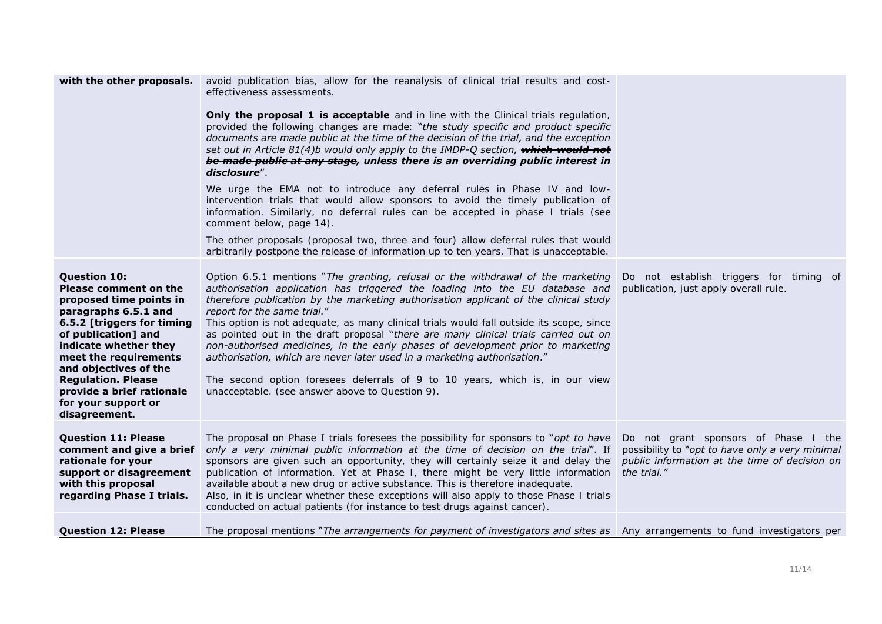| with the other proposals.                                                                                                                                                                                                                                                                                                                | avoid publication bias, allow for the reanalysis of clinical trial results and cost-<br>effectiveness assessments.<br><b>Only the proposal 1 is acceptable</b> and in line with the Clinical trials regulation,<br>provided the following changes are made: "the study specific and product specific<br>documents are made public at the time of the decision of the trial, and the exception<br>set out in Article 81(4)b would only apply to the IMDP-Q section, which would not<br>be made public at any stage, unless there is an overriding public interest in<br>disclosure".<br>We urge the EMA not to introduce any deferral rules in Phase IV and low-<br>intervention trials that would allow sponsors to avoid the timely publication of<br>information. Similarly, no deferral rules can be accepted in phase I trials (see<br>comment below, page 14).<br>The other proposals (proposal two, three and four) allow deferral rules that would<br>arbitrarily postpone the release of information up to ten years. That is unacceptable. |                                                                                                                                                         |
|------------------------------------------------------------------------------------------------------------------------------------------------------------------------------------------------------------------------------------------------------------------------------------------------------------------------------------------|-----------------------------------------------------------------------------------------------------------------------------------------------------------------------------------------------------------------------------------------------------------------------------------------------------------------------------------------------------------------------------------------------------------------------------------------------------------------------------------------------------------------------------------------------------------------------------------------------------------------------------------------------------------------------------------------------------------------------------------------------------------------------------------------------------------------------------------------------------------------------------------------------------------------------------------------------------------------------------------------------------------------------------------------------------|---------------------------------------------------------------------------------------------------------------------------------------------------------|
| <b>Question 10:</b><br><b>Please comment on the</b><br>proposed time points in<br>paragraphs 6.5.1 and<br>6.5.2 [triggers for timing<br>of publication] and<br>indicate whether they<br>meet the requirements<br>and objectives of the<br><b>Regulation. Please</b><br>provide a brief rationale<br>for your support or<br>disagreement. | Option 6.5.1 mentions "The granting, refusal or the withdrawal of the marketing<br>authorisation application has triggered the loading into the EU database and<br>therefore publication by the marketing authorisation applicant of the clinical study<br>report for the same trial."<br>This option is not adequate, as many clinical trials would fall outside its scope, since<br>as pointed out in the draft proposal "there are many clinical trials carried out on<br>non-authorised medicines, in the early phases of development prior to marketing<br>authorisation, which are never later used in a marketing authorisation."<br>The second option foresees deferrals of 9 to 10 years, which is, in our view<br>unacceptable. (see answer above to Question 9).                                                                                                                                                                                                                                                                         | Do not establish triggers for timing of<br>publication, just apply overall rule.                                                                        |
| <b>Question 11: Please</b><br>comment and give a brief<br>rationale for your<br>support or disagreement<br>with this proposal<br>regarding Phase I trials.                                                                                                                                                                               | The proposal on Phase I trials foresees the possibility for sponsors to "opt to have<br>only a very minimal public information at the time of decision on the trial". If<br>sponsors are given such an opportunity, they will certainly seize it and delay the<br>publication of information. Yet at Phase I, there might be very little information<br>available about a new drug or active substance. This is therefore inadequate.<br>Also, in it is unclear whether these exceptions will also apply to those Phase I trials<br>conducted on actual patients (for instance to test drugs against cancer).                                                                                                                                                                                                                                                                                                                                                                                                                                       | Do not grant sponsors of Phase I the<br>possibility to "opt to have only a very minimal<br>public information at the time of decision on<br>the trial." |
| <b>Question 12: Please</b>                                                                                                                                                                                                                                                                                                               | The proposal mentions "The arrangements for payment of investigators and sites as Any arrangements to fund investigators per                                                                                                                                                                                                                                                                                                                                                                                                                                                                                                                                                                                                                                                                                                                                                                                                                                                                                                                        |                                                                                                                                                         |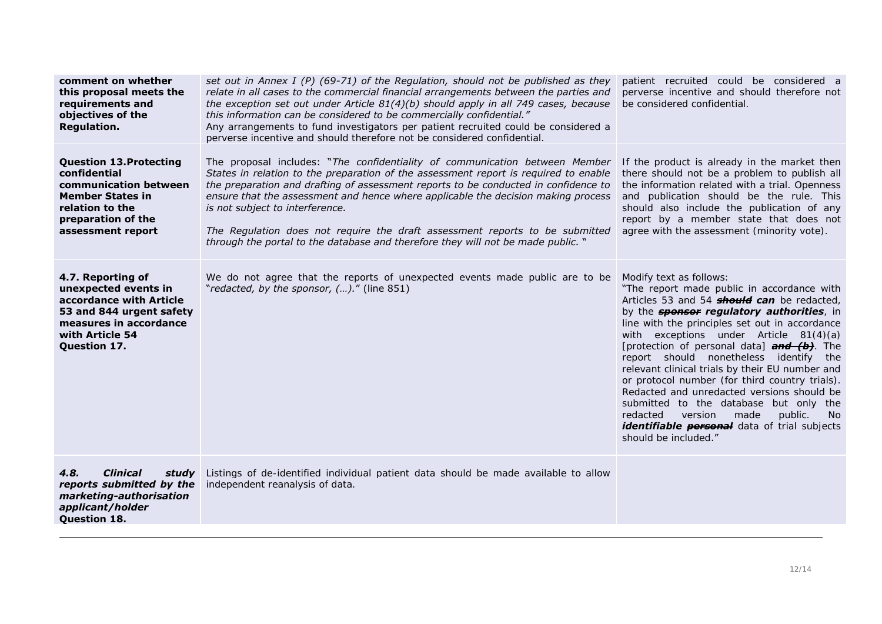| comment on whether<br>this proposal meets the<br>requirements and<br>objectives of the<br>Regulation.                                                            | set out in Annex I (P) (69-71) of the Regulation, should not be published as they<br>relate in all cases to the commercial financial arrangements between the parties and<br>the exception set out under Article $81(4)(b)$ should apply in all 749 cases, because<br>this information can be considered to be commercially confidential."<br>Any arrangements to fund investigators per patient recruited could be considered a<br>perverse incentive and should therefore not be considered confidential.                                            | patient recruited could be considered a<br>perverse incentive and should therefore not<br>be considered confidential.                                                                                                                                                                                                                                                                                                                                                                                                                                                                                                                                                                                     |
|------------------------------------------------------------------------------------------------------------------------------------------------------------------|--------------------------------------------------------------------------------------------------------------------------------------------------------------------------------------------------------------------------------------------------------------------------------------------------------------------------------------------------------------------------------------------------------------------------------------------------------------------------------------------------------------------------------------------------------|-----------------------------------------------------------------------------------------------------------------------------------------------------------------------------------------------------------------------------------------------------------------------------------------------------------------------------------------------------------------------------------------------------------------------------------------------------------------------------------------------------------------------------------------------------------------------------------------------------------------------------------------------------------------------------------------------------------|
| <b>Question 13. Protecting</b><br>confidential<br>communication between<br><b>Member States in</b><br>relation to the<br>preparation of the<br>assessment report | The proposal includes: "The confidentiality of communication between Member<br>States in relation to the preparation of the assessment report is required to enable<br>the preparation and drafting of assessment reports to be conducted in confidence to<br>ensure that the assessment and hence where applicable the decision making process<br>is not subject to interference.<br>The Regulation does not require the draft assessment reports to be submitted<br>through the portal to the database and therefore they will not be made public. " | If the product is already in the market then<br>there should not be a problem to publish all<br>the information related with a trial. Openness<br>and publication should be the rule. This<br>should also include the publication of any<br>report by a member state that does not<br>agree with the assessment (minority vote).                                                                                                                                                                                                                                                                                                                                                                          |
| 4.7. Reporting of<br>unexpected events in<br>accordance with Article<br>53 and 844 urgent safety<br>measures in accordance<br>with Article 54<br>Question 17.    | We do not agree that the reports of unexpected events made public are to be<br>"redacted, by the sponsor, ()." (line 851)                                                                                                                                                                                                                                                                                                                                                                                                                              | Modify text as follows:<br>"The report made public in accordance with<br>Articles 53 and 54 <b>should can</b> be redacted,<br>by the <b>sponsor regulatory authorities</b> , in<br>line with the principles set out in accordance<br>with exceptions under Article 81(4)(a)<br>[protection of personal data] <b>and (b)</b> . The<br>report should nonetheless identify the<br>relevant clinical trials by their EU number and<br>or protocol number (for third country trials).<br>Redacted and unredacted versions should be<br>submitted to the database but only the<br>made<br>redacted<br>version<br>public.<br>- No<br><i>identifiable personal</i> data of trial subjects<br>should be included." |
| 4.8.<br><b>Clinical</b><br>studv<br>reports submitted by the<br>marketing-authorisation<br>applicant/holder<br><b>Question 18.</b>                               | Listings of de-identified individual patient data should be made available to allow<br>independent reanalysis of data.                                                                                                                                                                                                                                                                                                                                                                                                                                 |                                                                                                                                                                                                                                                                                                                                                                                                                                                                                                                                                                                                                                                                                                           |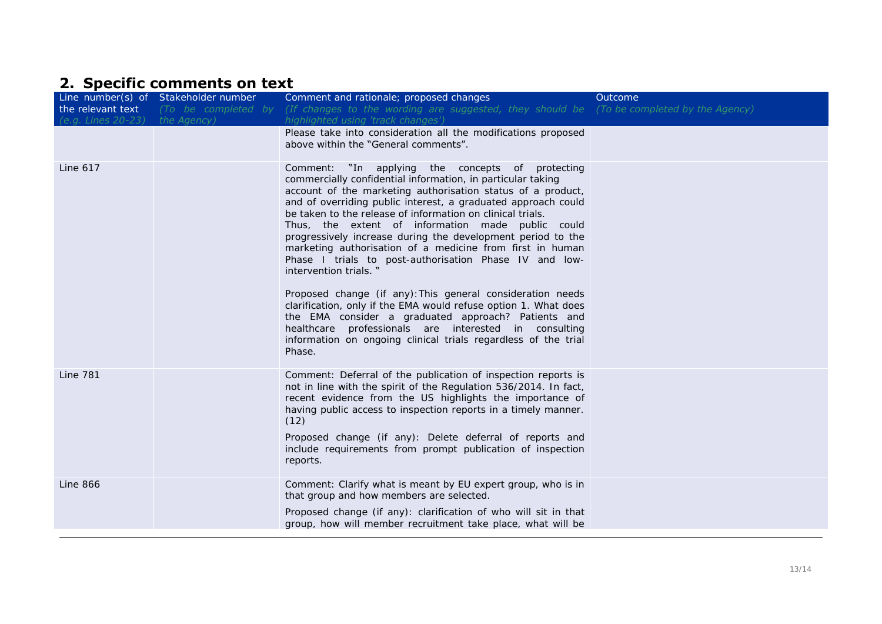# **2. Specific comments on text**

|                    | Line number(s) of Stakeholder number | Comment and rationale; proposed changes                                                                                                                                                                                                                                                                                                                                                                                                                                                                                                                                                                                                                                                                                                                                                                                                                                                               | Outcome |
|--------------------|--------------------------------------|-------------------------------------------------------------------------------------------------------------------------------------------------------------------------------------------------------------------------------------------------------------------------------------------------------------------------------------------------------------------------------------------------------------------------------------------------------------------------------------------------------------------------------------------------------------------------------------------------------------------------------------------------------------------------------------------------------------------------------------------------------------------------------------------------------------------------------------------------------------------------------------------------------|---------|
| the relevant text  | (To be completed by                  | (If changes to the wording are suggested, they should be (To be completed by the Agency)                                                                                                                                                                                                                                                                                                                                                                                                                                                                                                                                                                                                                                                                                                                                                                                                              |         |
| (e.g. Lines 20-23) | the Agency)                          | highlighted using 'track changes')                                                                                                                                                                                                                                                                                                                                                                                                                                                                                                                                                                                                                                                                                                                                                                                                                                                                    |         |
|                    |                                      | Please take into consideration all the modifications proposed                                                                                                                                                                                                                                                                                                                                                                                                                                                                                                                                                                                                                                                                                                                                                                                                                                         |         |
|                    |                                      | above within the "General comments".                                                                                                                                                                                                                                                                                                                                                                                                                                                                                                                                                                                                                                                                                                                                                                                                                                                                  |         |
| Line 617           |                                      | Comment: "In applying the concepts of protecting<br>commercially confidential information, in particular taking<br>account of the marketing authorisation status of a product,<br>and of overriding public interest, a graduated approach could<br>be taken to the release of information on clinical trials.<br>Thus, the extent of information made public could<br>progressively increase during the development period to the<br>marketing authorisation of a medicine from first in human<br>Phase I trials to post-authorisation Phase IV and low-<br>intervention trials. "<br>Proposed change (if any): This general consideration needs<br>clarification, only if the EMA would refuse option 1. What does<br>the EMA consider a graduated approach? Patients and<br>healthcare professionals are interested in consulting<br>information on ongoing clinical trials regardless of the trial |         |
|                    |                                      | Phase.                                                                                                                                                                                                                                                                                                                                                                                                                                                                                                                                                                                                                                                                                                                                                                                                                                                                                                |         |
| <b>Line 781</b>    |                                      | Comment: Deferral of the publication of inspection reports is<br>not in line with the spirit of the Regulation 536/2014. In fact,<br>recent evidence from the US highlights the importance of<br>having public access to inspection reports in a timely manner.<br>(12)<br>Proposed change (if any): Delete deferral of reports and<br>include requirements from prompt publication of inspection<br>reports.                                                                                                                                                                                                                                                                                                                                                                                                                                                                                         |         |
| <b>Line 866</b>    |                                      | Comment: Clarify what is meant by EU expert group, who is in<br>that group and how members are selected.                                                                                                                                                                                                                                                                                                                                                                                                                                                                                                                                                                                                                                                                                                                                                                                              |         |
|                    |                                      | Proposed change (if any): clarification of who will sit in that<br>group, how will member recruitment take place, what will be                                                                                                                                                                                                                                                                                                                                                                                                                                                                                                                                                                                                                                                                                                                                                                        |         |